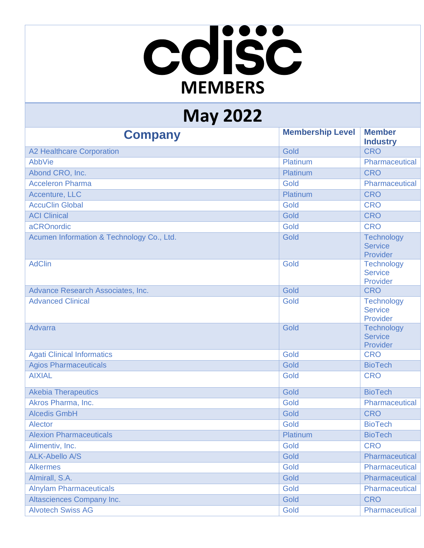## cdisc **MEMBERS**

## **May 2022**

| <b>Company</b>                            | <b>Membership Level</b> | <b>Member</b><br><b>Industry</b>                |
|-------------------------------------------|-------------------------|-------------------------------------------------|
| <b>A2 Healthcare Corporation</b>          | Gold                    | <b>CRO</b>                                      |
| AbbVie                                    | Platinum                | Pharmaceutical                                  |
| Abond CRO, Inc.                           | Platinum                | <b>CRO</b>                                      |
| <b>Acceleron Pharma</b>                   | Gold                    | Pharmaceutical                                  |
| Accenture, LLC                            | Platinum                | <b>CRO</b>                                      |
| <b>AccuClin Global</b>                    | Gold                    | <b>CRO</b>                                      |
| <b>ACI Clinical</b>                       | Gold                    | <b>CRO</b>                                      |
| aCROnordic                                | Gold                    | <b>CRO</b>                                      |
| Acumen Information & Technology Co., Ltd. | Gold                    | <b>Technology</b><br><b>Service</b><br>Provider |
| <b>AdClin</b>                             | Gold                    | <b>Technology</b><br><b>Service</b><br>Provider |
| Advance Research Associates, Inc.         | Gold                    | <b>CRO</b>                                      |
| <b>Advanced Clinical</b>                  | Gold                    | <b>Technology</b><br><b>Service</b><br>Provider |
| <b>Advarra</b>                            | Gold                    | <b>Technology</b><br><b>Service</b><br>Provider |
| <b>Agati Clinical Informatics</b>         | Gold                    | <b>CRO</b>                                      |
| <b>Agios Pharmaceuticals</b>              | Gold                    | <b>BioTech</b>                                  |
| <b>AIXIAL</b>                             | Gold                    | <b>CRO</b>                                      |
| <b>Akebia Therapeutics</b>                | Gold                    | <b>BioTech</b>                                  |
| Akros Pharma, Inc.                        | Gold                    | Pharmaceutical                                  |
| <b>Alcedis GmbH</b>                       | Gold                    | <b>CRO</b>                                      |
| <b>Alector</b>                            | Gold                    | <b>BioTech</b>                                  |
| <b>Alexion Pharmaceuticals</b>            | Platinum                | <b>BioTech</b>                                  |
| Alimentiv, Inc.                           | Gold                    | <b>CRO</b>                                      |
| <b>ALK-Abello A/S</b>                     | Gold                    | Pharmaceutical                                  |
| <b>Alkermes</b>                           | Gold                    | Pharmaceutical                                  |
| Almirall, S.A.                            | Gold                    | Pharmaceutical                                  |
| <b>Alnylam Pharmaceuticals</b>            | Gold                    | Pharmaceutical                                  |
| <b>Altasciences Company Inc.</b>          | Gold                    | <b>CRO</b>                                      |
| <b>Alvotech Swiss AG</b>                  | Gold                    | Pharmaceutical                                  |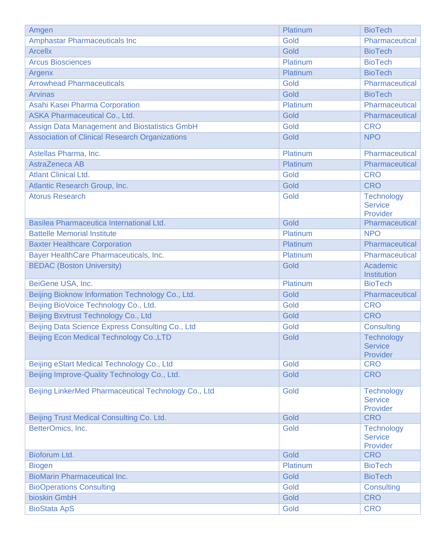| Amgen                                                 | Platinum | <b>BioTech</b>                                  |
|-------------------------------------------------------|----------|-------------------------------------------------|
| <b>Amphastar Pharmaceuticals Inc</b>                  | Gold     | Pharmaceutical                                  |
| <b>Arcellx</b>                                        | Gold     | <b>BioTech</b>                                  |
| <b>Arcus Biosciences</b>                              | Platinum | <b>BioTech</b>                                  |
| Argenx                                                | Platinum | <b>BioTech</b>                                  |
| <b>Arrowhead Pharmaceuticals</b>                      | Gold     | Pharmaceutical                                  |
| <b>Arvinas</b>                                        | Gold     | <b>BioTech</b>                                  |
| Asahi Kasei Pharma Corporation                        | Platinum | Pharmaceutical                                  |
| <b>ASKA Pharmaceutical Co., Ltd.</b>                  | Gold     | Pharmaceutical                                  |
| <b>Assign Data Management and Biostatistics GmbH</b>  | Gold     | <b>CRO</b>                                      |
| <b>Association of Clinical Research Organizations</b> | Gold     | <b>NPO</b>                                      |
| Astellas Pharma, Inc.                                 | Platinum | Pharmaceutical                                  |
| AstraZeneca AB                                        | Platinum | Pharmaceutical                                  |
| <b>Atlant Clinical Ltd.</b>                           | Gold     | <b>CRO</b>                                      |
| Atlantic Research Group, Inc.                         | Gold     | <b>CRO</b>                                      |
| <b>Atorus Research</b>                                | Gold     | <b>Technology</b><br><b>Service</b><br>Provider |
| Basilea Pharmaceutica International Ltd.              | Gold     | Pharmaceutical                                  |
| <b>Battelle Memorial Institute</b>                    | Platinum | <b>NPO</b>                                      |
| <b>Baxter Healthcare Corporation</b>                  | Platinum | Pharmaceutical                                  |
| Bayer HealthCare Pharmaceuticals, Inc.                | Platinum | Pharmaceutical                                  |
| <b>BEDAC (Boston University)</b>                      | Gold     | Academic<br>Institution                         |
| BeiGene USA, Inc.                                     | Platinum | <b>BioTech</b>                                  |
| Beijing Bioknow Information Technology Co., Ltd.      | Gold     | Pharmaceutical                                  |
| Beijing BioVoice Technology Co., Ltd.                 | Gold     | <b>CRO</b>                                      |
| Beijing Bxvtrust Technology Co., Ltd                  | Gold     | <b>CRO</b>                                      |
| Beijing Data Science Express Consulting Co., Ltd      | Gold     | <b>Consulting</b>                               |
| Beijing Econ Medical Technology Co., LTD              | Gold     | <b>Technology</b><br><b>Service</b><br>Provider |
| Beijing eStart Medical Technology Co., Ltd            | Gold     | <b>CRO</b>                                      |
| Beijing Improve-Quality Technology Co., Ltd.          | Gold     | <b>CRO</b>                                      |
| Beijing LinkerMed Pharmaceutical Technology Co., Ltd  | Gold     | <b>Technology</b><br><b>Service</b><br>Provider |
| Beijing Trust Medical Consulting Co. Ltd.             | Gold     | <b>CRO</b>                                      |
| BetterOmics, Inc.                                     | Gold     | <b>Technology</b><br><b>Service</b><br>Provider |
| Bioforum Ltd.                                         | Gold     | <b>CRO</b>                                      |
| <b>Biogen</b>                                         | Platinum | <b>BioTech</b>                                  |
| <b>BioMarin Pharmaceutical Inc.</b>                   | Gold     | <b>BioTech</b>                                  |
| <b>BioOperations Consulting</b>                       | Gold     | <b>Consulting</b>                               |
| bioskin GmbH                                          | Gold     | <b>CRO</b>                                      |
| <b>BioStata ApS</b>                                   | Gold     | <b>CRO</b>                                      |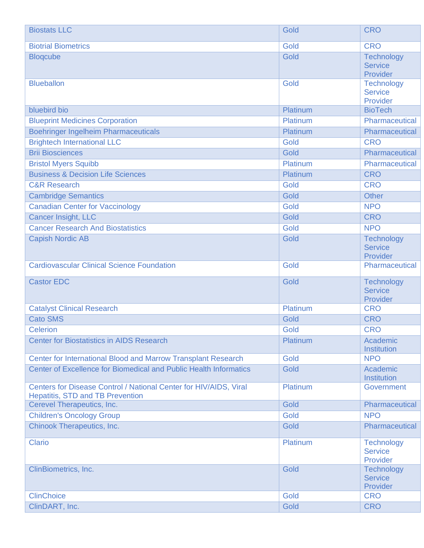| <b>Biostats LLC</b>                                                                                          | Gold     | <b>CRO</b>                                      |
|--------------------------------------------------------------------------------------------------------------|----------|-------------------------------------------------|
| <b>Biotrial Biometrics</b>                                                                                   | Gold     | <b>CRO</b>                                      |
| <b>Blogcube</b>                                                                                              | Gold     | <b>Technology</b><br><b>Service</b><br>Provider |
| <b>Blueballon</b>                                                                                            | Gold     | <b>Technology</b><br><b>Service</b><br>Provider |
| bluebird bio                                                                                                 | Platinum | <b>BioTech</b>                                  |
| <b>Blueprint Medicines Corporation</b>                                                                       | Platinum | Pharmaceutical                                  |
| <b>Boehringer Ingelheim Pharmaceuticals</b>                                                                  | Platinum | Pharmaceutical                                  |
| <b>Brightech International LLC</b>                                                                           | Gold     | <b>CRO</b>                                      |
| <b>Brii Biosciences</b>                                                                                      | Gold     | Pharmaceutical                                  |
| <b>Bristol Myers Squibb</b>                                                                                  | Platinum | Pharmaceutical                                  |
| <b>Business &amp; Decision Life Sciences</b>                                                                 | Platinum | <b>CRO</b>                                      |
| <b>C&amp;R Research</b>                                                                                      | Gold     | <b>CRO</b>                                      |
| <b>Cambridge Semantics</b>                                                                                   | Gold     | <b>Other</b>                                    |
| <b>Canadian Center for Vaccinology</b>                                                                       | Gold     | <b>NPO</b>                                      |
| <b>Cancer Insight, LLC</b>                                                                                   | Gold     | <b>CRO</b>                                      |
| <b>Cancer Research And Biostatistics</b>                                                                     | Gold     | <b>NPO</b>                                      |
| <b>Capish Nordic AB</b>                                                                                      | Gold     | Technology<br><b>Service</b><br>Provider        |
| <b>Cardiovascular Clinical Science Foundation</b>                                                            | Gold     | Pharmaceutical                                  |
| <b>Castor EDC</b>                                                                                            | Gold     | <b>Technology</b><br><b>Service</b><br>Provider |
| <b>Catalyst Clinical Research</b>                                                                            | Platinum | <b>CRO</b>                                      |
| <b>Cato SMS</b>                                                                                              | Gold     | <b>CRO</b>                                      |
| <b>Celerion</b>                                                                                              | Gold     | <b>CRO</b>                                      |
| <b>Center for Biostatistics in AIDS Research</b>                                                             | Platinum | Academic<br>Institution                         |
| Center for International Blood and Marrow Transplant Research                                                | Gold     | <b>NPO</b>                                      |
| Center of Excellence for Biomedical and Public Health Informatics                                            | Gold     | Academic<br>Institution                         |
| Centers for Disease Control / National Center for HIV/AIDS, Viral<br><b>Hepatitis, STD and TB Prevention</b> | Platinum | Government                                      |
| Cerevel Therapeutics, Inc.                                                                                   | Gold     | Pharmaceutical                                  |
| <b>Children's Oncology Group</b>                                                                             | Gold     | <b>NPO</b>                                      |
| <b>Chinook Therapeutics, Inc.</b>                                                                            | Gold     | Pharmaceutical                                  |
| <b>Clario</b>                                                                                                | Platinum | <b>Technology</b><br><b>Service</b><br>Provider |
| ClinBiometrics, Inc.                                                                                         | Gold     | Technology<br><b>Service</b><br>Provider        |
| <b>ClinChoice</b>                                                                                            | Gold     | <b>CRO</b>                                      |
| ClinDART, Inc.                                                                                               | Gold     | <b>CRO</b>                                      |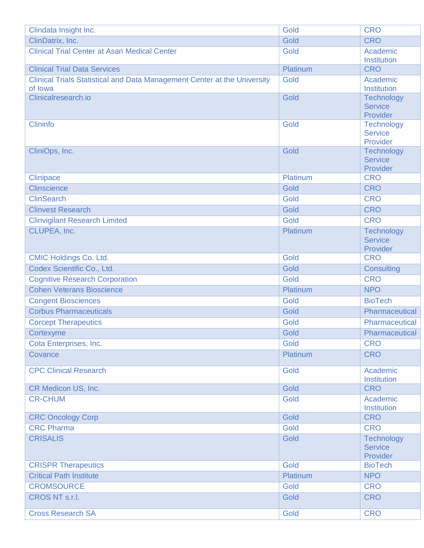| Clindata Insight Inc.                                                               | Gold     | <b>CRO</b>                                      |
|-------------------------------------------------------------------------------------|----------|-------------------------------------------------|
| ClinDatrix, Inc.                                                                    | Gold     | <b>CRO</b>                                      |
| <b>Clinical Trial Center at Asan Medical Center</b>                                 | Gold     | Academic<br><b>Institution</b>                  |
| <b>Clinical Trial Data Services</b>                                                 | Platinum | <b>CRO</b>                                      |
| Clinical Trials Statistical and Data Management Center at the University<br>of lowa | Gold     | Academic<br>Institution                         |
| Clinicalresearch.io                                                                 | Gold     | <b>Technology</b><br><b>Service</b><br>Provider |
| <b>Clininfo</b>                                                                     | Gold     | <b>Technology</b><br><b>Service</b><br>Provider |
| CliniOps, Inc.                                                                      | Gold     | Technology<br><b>Service</b><br>Provider        |
| <b>Clinipace</b>                                                                    | Platinum | <b>CRO</b>                                      |
| <b>Clinscience</b>                                                                  | Gold     | <b>CRO</b>                                      |
| <b>ClinSearch</b>                                                                   | Gold     | <b>CRO</b>                                      |
| <b>Clinvest Research</b>                                                            | Gold     | <b>CRO</b>                                      |
| <b>Clinvigilant Research Limited</b>                                                | Gold     | <b>CRO</b>                                      |
| CLUPEA, Inc.                                                                        | Platinum | <b>Technology</b><br><b>Service</b><br>Provider |
| <b>CMIC Holdings Co. Ltd.</b>                                                       | Gold     | <b>CRO</b>                                      |
| Codex Scientific Co., Ltd.                                                          | Gold     | <b>Consulting</b>                               |
| <b>Cognitive Research Corporation</b>                                               | Gold     | <b>CRO</b>                                      |
| <b>Cohen Veterans Bioscience</b>                                                    | Platinum | <b>NPO</b>                                      |
| <b>Congent Biosciences</b>                                                          | Gold     | <b>BioTech</b>                                  |
| <b>Corbus Pharmaceuticals</b>                                                       | Gold     | Pharmaceutical                                  |
| <b>Corcept Therapeutics</b>                                                         | Gold     | Pharmaceutical                                  |
| Cortexyme                                                                           | Gold     | <b>Pharmaceutical</b>                           |
| Cota Enterprises, Inc.                                                              | Gold     | <b>CRO</b>                                      |
| Covance                                                                             | Platinum | <b>CRO</b>                                      |
| <b>CPC Clinical Research</b>                                                        | Gold     | Academic<br><b>Institution</b>                  |
| CR Medicon US, Inc.                                                                 | Gold     | <b>CRO</b>                                      |
| <b>CR-CHUM</b>                                                                      | Gold     | Academic<br><b>Institution</b>                  |
| <b>CRC Oncology Corp</b>                                                            | Gold     | <b>CRO</b>                                      |
| <b>CRC Pharma</b>                                                                   | Gold     | <b>CRO</b>                                      |
| <b>CRISALIS</b>                                                                     | Gold     | <b>Technology</b><br><b>Service</b><br>Provider |
| <b>CRISPR Therapeutics</b>                                                          | Gold     | <b>BioTech</b>                                  |
| <b>Critical Path Institute</b>                                                      | Platinum | <b>NPO</b>                                      |
| <b>CROMSOURCE</b>                                                                   | Gold     | <b>CRO</b>                                      |
| <b>CROS NT s.r.l.</b>                                                               | Gold     | <b>CRO</b>                                      |
| <b>Cross Research SA</b>                                                            | Gold     | <b>CRO</b>                                      |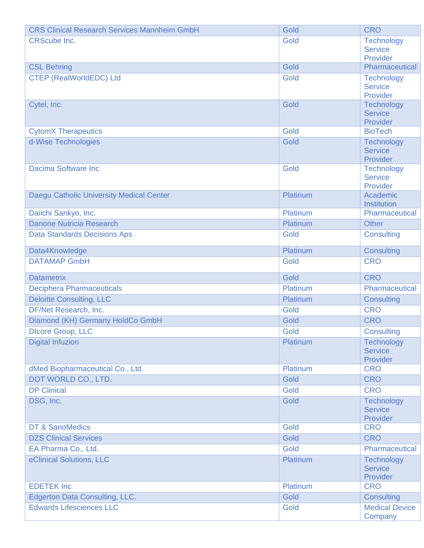| <b>CRS Clinical Research Services Mannheim GmbH</b> | Gold     | <b>CRO</b>                       |
|-----------------------------------------------------|----------|----------------------------------|
| <b>CRScube Inc.</b>                                 | Gold     | <b>Technology</b>                |
|                                                     |          | <b>Service</b>                   |
| <b>CSL Behring</b>                                  | Gold     | Provider<br>Pharmaceutical       |
| <b>CTEP (RealWorldEDC) Ltd</b>                      | Gold     | Technology                       |
|                                                     |          | <b>Service</b>                   |
|                                                     |          | Provider                         |
| Cytel, Inc.                                         | Gold     | <b>Technology</b>                |
|                                                     |          | <b>Service</b>                   |
| <b>CytomX Therapeutics</b>                          | Gold     | Provider<br><b>BioTech</b>       |
| d-Wise Technologies                                 | Gold     | <b>Technology</b>                |
|                                                     |          | <b>Service</b>                   |
|                                                     |          | Provider                         |
| Dacima Software Inc                                 | Gold     | Technology                       |
|                                                     |          | <b>Service</b>                   |
|                                                     | Platinum | Provider<br>Academic             |
| Daegu Catholic University Medical Center            |          | Institution                      |
| Daiichi Sankyo, Inc.                                | Platinum | Pharmaceutical                   |
| Danone Nutricia Research                            | Platinum | <b>Other</b>                     |
| <b>Data Standards Decisions Aps</b>                 | Gold     | <b>Consulting</b>                |
|                                                     |          |                                  |
| Data4Knowledge                                      | Platinum | Consulting                       |
| <b>DATAMAP GmbH</b>                                 | Gold     | <b>CRO</b>                       |
|                                                     |          |                                  |
| <b>Datametrix</b>                                   | Gold     | <b>CRO</b>                       |
| <b>Deciphera Pharmaceuticals</b>                    | Platinum | Pharmaceutical                   |
| <b>Deloitte Consulting, LLC</b>                     | Platinum | <b>Consulting</b>                |
| DF/Net Research, Inc.                               | Gold     | <b>CRO</b>                       |
| Diamond (KH) Germany HoldCo GmbH                    | Gold     | <b>CRO</b>                       |
| <b>Dicore Group, LLC</b>                            | Gold     | Consulting                       |
| <b>Digital Infuzion</b>                             | Platinum | <b>Technology</b>                |
|                                                     |          | <b>Service</b>                   |
|                                                     |          | Provider                         |
| dMed Biopharmaceutical Co., Ltd.                    | Platinum | <b>CRO</b>                       |
| DOT WORLD CO., LTD.                                 | Gold     | <b>CRO</b>                       |
| <b>DP Clinical</b>                                  | Gold     | <b>CRO</b>                       |
| DSG, Inc.                                           | Gold     | Technology                       |
|                                                     |          | <b>Service</b>                   |
| <b>DT &amp; SanoMedics</b>                          | Gold     | Provider<br><b>CRO</b>           |
| <b>DZS Clinical Services</b>                        | Gold     | <b>CRO</b>                       |
| EA Pharma Co., Ltd.                                 | Gold     | Pharmaceutical                   |
| eClinical Solutions, LLC                            | Platinum | <b>Technology</b>                |
|                                                     |          | <b>Service</b>                   |
|                                                     |          | Provider                         |
| <b>EDETEK Inc</b>                                   | Platinum | <b>CRO</b>                       |
| <b>Edgerton Data Consulting, LLC.</b>               | Gold     | <b>Consulting</b>                |
| <b>Edwards Lifesciences LLC</b>                     | Gold     | <b>Medical Device</b><br>Company |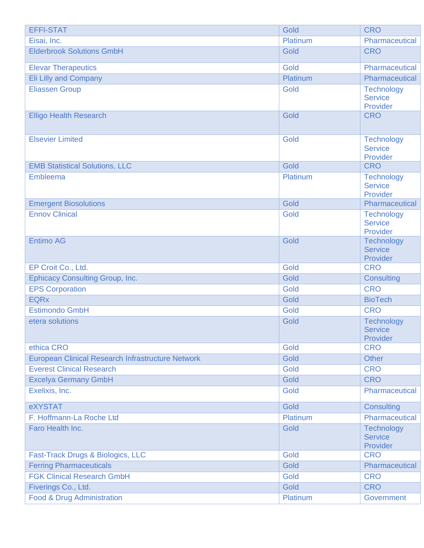| <b>EFFI-STAT</b>                                  | Gold     | <b>CRO</b>                                      |
|---------------------------------------------------|----------|-------------------------------------------------|
| Eisai, Inc.                                       | Platinum | Pharmaceutical                                  |
| <b>Elderbrook Solutions GmbH</b>                  | Gold     | <b>CRO</b>                                      |
| <b>Elevar Therapeutics</b>                        | Gold     | Pharmaceutical                                  |
| Eli Lilly and Company                             | Platinum | Pharmaceutical                                  |
| <b>Eliassen Group</b>                             | Gold     | <b>Technology</b><br><b>Service</b><br>Provider |
| <b>Elligo Health Research</b>                     | Gold     | <b>CRO</b>                                      |
| <b>Elsevier Limited</b>                           | Gold     | <b>Technology</b><br><b>Service</b><br>Provider |
| <b>EMB Statistical Solutions, LLC</b>             | Gold     | <b>CRO</b>                                      |
| Embleema                                          | Platinum | <b>Technology</b><br><b>Service</b><br>Provider |
| <b>Emergent Biosolutions</b>                      | Gold     | Pharmaceutical                                  |
| <b>Ennov Clinical</b>                             | Gold     | <b>Technology</b><br><b>Service</b><br>Provider |
| <b>Entimo AG</b>                                  | Gold     | <b>Technology</b><br><b>Service</b><br>Provider |
| EP Croit Co., Ltd.                                | Gold     | <b>CRO</b>                                      |
| <b>Ephicacy Consulting Group, Inc.</b>            | Gold     | <b>Consulting</b>                               |
| <b>EPS Corporation</b>                            | Gold     | <b>CRO</b>                                      |
| <b>EQRx</b>                                       | Gold     | <b>BioTech</b>                                  |
| <b>Estimondo GmbH</b>                             | Gold     | <b>CRO</b>                                      |
| etera solutions                                   | Gold     | <b>Technology</b><br><b>Service</b><br>Provider |
| ethica CRO                                        | Gold     | <b>CRO</b>                                      |
| European Clinical Research Infrastructure Network | Gold     | <b>Other</b>                                    |
| <b>Everest Clinical Research</b>                  | Gold     | <b>CRO</b>                                      |
| <b>Excelya Germany GmbH</b>                       | Gold     | <b>CRO</b>                                      |
| Exelixis, Inc.                                    | Gold     | Pharmaceutical                                  |
| eXYSTAT                                           | Gold     | <b>Consulting</b>                               |
| F. Hoffmann-La Roche Ltd                          | Platinum | Pharmaceutical                                  |
| Faro Health Inc.                                  | Gold     | <b>Technology</b><br><b>Service</b><br>Provider |
| Fast-Track Drugs & Biologics, LLC                 | Gold     | <b>CRO</b>                                      |
| <b>Ferring Pharmaceuticals</b>                    | Gold     | Pharmaceutical                                  |
| <b>FGK Clinical Research GmbH</b>                 | Gold     | <b>CRO</b>                                      |
| Fiverings Co., Ltd.                               | Gold     | <b>CRO</b>                                      |
| Food & Drug Administration                        | Platinum | Government                                      |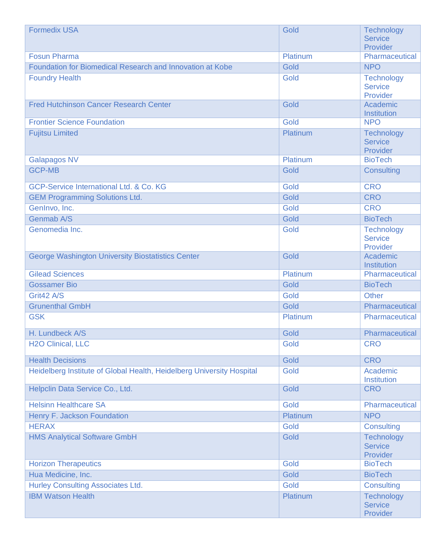| <b>Formedix USA</b>                                                   | Gold     | <b>Technology</b><br><b>Service</b><br>Provider |
|-----------------------------------------------------------------------|----------|-------------------------------------------------|
| <b>Fosun Pharma</b>                                                   | Platinum | Pharmaceutical                                  |
| Foundation for Biomedical Research and Innovation at Kobe             | Gold     | <b>NPO</b>                                      |
| <b>Foundry Health</b>                                                 | Gold     | <b>Technology</b><br><b>Service</b><br>Provider |
| <b>Fred Hutchinson Cancer Research Center</b>                         | Gold     | Academic<br>Institution                         |
| <b>Frontier Science Foundation</b>                                    | Gold     | <b>NPO</b>                                      |
| <b>Fujitsu Limited</b>                                                | Platinum | <b>Technology</b><br><b>Service</b><br>Provider |
| <b>Galapagos NV</b>                                                   | Platinum | <b>BioTech</b>                                  |
| <b>GCP-MB</b>                                                         | Gold     | <b>Consulting</b>                               |
| GCP-Service International Ltd. & Co. KG                               | Gold     | <b>CRO</b>                                      |
| <b>GEM Programming Solutions Ltd.</b>                                 | Gold     | <b>CRO</b>                                      |
| GenInvo, Inc.                                                         | Gold     | <b>CRO</b>                                      |
| <b>Genmab A/S</b>                                                     | Gold     | <b>BioTech</b>                                  |
| Genomedia Inc.                                                        | Gold     | <b>Technology</b><br><b>Service</b><br>Provider |
| <b>George Washington University Biostatistics Center</b>              | Gold     | Academic<br>Institution                         |
| <b>Gilead Sciences</b>                                                | Platinum | Pharmaceutical                                  |
| <b>Gossamer Bio</b>                                                   | Gold     | <b>BioTech</b>                                  |
| Grit42 A/S                                                            | Gold     | <b>Other</b>                                    |
| <b>Grunenthal GmbH</b>                                                | Gold     | Pharmaceutical                                  |
| <b>GSK</b>                                                            | Platinum | Pharmaceutical                                  |
| H. Lundbeck A/S                                                       | Gold     | Pharmaceutical                                  |
| <b>H2O Clinical, LLC</b>                                              | Gold     | <b>CRO</b>                                      |
| <b>Health Decisions</b>                                               | Gold     | <b>CRO</b>                                      |
| Heidelberg Institute of Global Health, Heidelberg University Hospital | Gold     | Academic<br><b>Institution</b>                  |
| Helpclin Data Service Co., Ltd.                                       | Gold     | <b>CRO</b>                                      |
| <b>Helsinn Healthcare SA</b>                                          | Gold     | Pharmaceutical                                  |
| Henry F. Jackson Foundation                                           | Platinum | <b>NPO</b>                                      |
| <b>HERAX</b>                                                          | Gold     | <b>Consulting</b>                               |
| <b>HMS Analytical Software GmbH</b>                                   | Gold     | <b>Technology</b><br><b>Service</b><br>Provider |
| <b>Horizon Therapeutics</b>                                           | Gold     | <b>BioTech</b>                                  |
| Hua Medicine, Inc.                                                    | Gold     | <b>BioTech</b>                                  |
| <b>Hurley Consulting Associates Ltd.</b>                              | Gold     | <b>Consulting</b>                               |
| <b>IBM Watson Health</b>                                              | Platinum | <b>Technology</b><br><b>Service</b><br>Provider |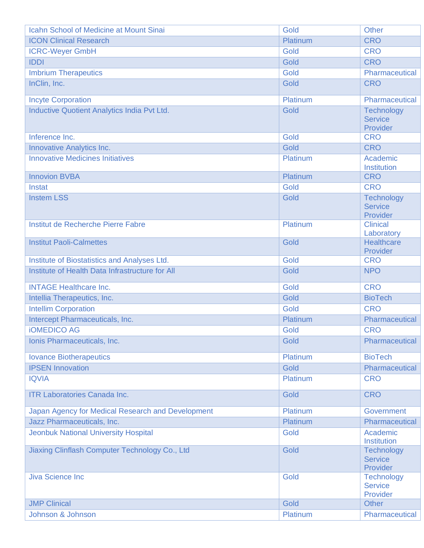| <b>Icahn School of Medicine at Mount Sinai</b>    | Gold     | <b>Other</b>                                    |
|---------------------------------------------------|----------|-------------------------------------------------|
| <b>ICON Clinical Research</b>                     | Platinum | <b>CRO</b>                                      |
| <b>ICRC-Weyer GmbH</b>                            | Gold     | <b>CRO</b>                                      |
| <b>IDDI</b>                                       | Gold     | <b>CRO</b>                                      |
| <b>Imbrium Therapeutics</b>                       | Gold     | Pharmaceutical                                  |
| InClin, Inc.                                      | Gold     | <b>CRO</b>                                      |
| <b>Incyte Corporation</b>                         | Platinum | Pharmaceutical                                  |
| Inductive Quotient Analytics India Pvt Ltd.       | Gold     | Technology<br><b>Service</b><br>Provider        |
| Inference Inc.                                    | Gold     | <b>CRO</b>                                      |
| Innovative Analytics Inc.                         | Gold     | <b>CRO</b>                                      |
| <b>Innovative Medicines Initiatives</b>           | Platinum | Academic<br><b>Institution</b>                  |
| <b>Innovion BVBA</b>                              | Platinum | <b>CRO</b>                                      |
| Instat                                            | Gold     | <b>CRO</b>                                      |
| <b>Instem LSS</b>                                 | Gold     | <b>Technology</b><br><b>Service</b><br>Provider |
| Institut de Recherche Pierre Fabre                | Platinum | <b>Clinical</b><br>Laboratory                   |
| <b>Institut Paoli-Calmettes</b>                   | Gold     | <b>Healthcare</b><br>Provider                   |
| Institute of Biostatistics and Analyses Ltd.      | Gold     | <b>CRO</b>                                      |
| Institute of Health Data Infrastructure for All   | Gold     | <b>NPO</b>                                      |
| <b>INTAGE Healthcare Inc.</b>                     | Gold     | <b>CRO</b>                                      |
| Intellia Therapeutics, Inc.                       | Gold     | <b>BioTech</b>                                  |
| <b>Intellim Corporation</b>                       | Gold     | <b>CRO</b>                                      |
| Intercept Pharmaceuticals, Inc.                   | Platinum | Pharmaceutical                                  |
| <b>iOMEDICO AG</b>                                | Gold     | <b>CRO</b>                                      |
| Ionis Pharmaceuticals, Inc.                       | Gold     | Pharmaceutical                                  |
| <b>lovance Biotherapeutics</b>                    | Platinum | <b>BioTech</b>                                  |
| <b>IPSEN Innovation</b>                           | Gold     | Pharmaceutical                                  |
| <b>IQVIA</b>                                      | Platinum | <b>CRO</b>                                      |
| <b>ITR Laboratories Canada Inc.</b>               | Gold     | <b>CRO</b>                                      |
| Japan Agency for Medical Research and Development | Platinum | Government                                      |
| Jazz Pharmaceuticals, Inc.                        | Platinum | Pharmaceutical                                  |
| <b>Jeonbuk National University Hospital</b>       | Gold     | Academic<br><b>Institution</b>                  |
| Jiaxing Clinflash Computer Technology Co., Ltd    | Gold     | <b>Technology</b><br><b>Service</b><br>Provider |
| <b>Jiva Science Inc</b>                           | Gold     | <b>Technology</b><br><b>Service</b><br>Provider |
| <b>JMP Clinical</b>                               | Gold     | <b>Other</b>                                    |
| Johnson & Johnson                                 | Platinum | Pharmaceutical                                  |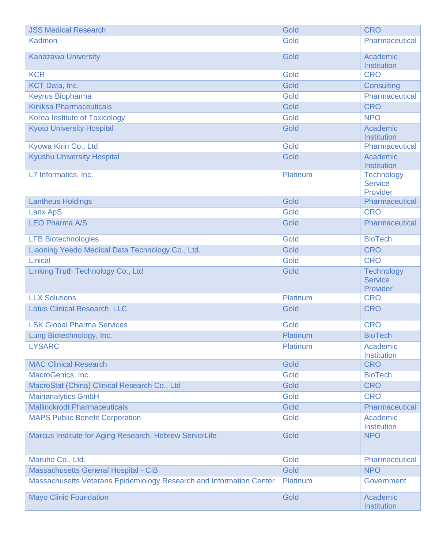| <b>JSS Medical Research</b>                                         | Gold     | <b>CRO</b>                                      |
|---------------------------------------------------------------------|----------|-------------------------------------------------|
| Kadmon                                                              | Gold     | <b>Pharmaceutical</b>                           |
| <b>Kanazawa University</b>                                          | Gold     | Academic<br>Institution                         |
| <b>KCR</b>                                                          | Gold     | <b>CRO</b>                                      |
| <b>KCT Data, Inc.</b>                                               | Gold     | <b>Consulting</b>                               |
| <b>Keyrus Biopharma</b>                                             | Gold     | <b>Pharmaceutical</b>                           |
| <b>Kiniksa Pharmaceuticals</b>                                      | Gold     | <b>CRO</b>                                      |
| <b>Korea Institute of Toxicology</b>                                | Gold     | <b>NPO</b>                                      |
| <b>Kyoto University Hospital</b>                                    | Gold     | Academic<br><b>Institution</b>                  |
| Kyowa Kirin Co., Ltd                                                | Gold     | Pharmaceutical                                  |
| <b>Kyushu University Hospital</b>                                   | Gold     | Academic<br>Institution                         |
| L7 Informatics, Inc.                                                | Platinum | <b>Technology</b><br><b>Service</b><br>Provider |
| <b>Lantheus Holdings</b>                                            | Gold     | Pharmaceutical                                  |
| <b>Larix ApS</b>                                                    | Gold     | <b>CRO</b>                                      |
| <b>LEO Pharma A/S</b>                                               | Gold     | Pharmaceutical                                  |
| <b>LFB Biotechnologies</b>                                          | Gold     | <b>BioTech</b>                                  |
| Liaoning Yeedo Medical Data Technology Co., Ltd.                    | Gold     | <b>CRO</b>                                      |
| Linical                                                             | Gold     | <b>CRO</b>                                      |
| Linking Truth Technology Co., Ltd                                   | Gold     | <b>Technology</b><br><b>Service</b><br>Provider |
| <b>LLX Solutions</b>                                                | Platinum | <b>CRO</b>                                      |
| <b>Lotus Clinical Research, LLC</b>                                 | Gold     | <b>CRO</b>                                      |
| <b>LSK Global Pharma Services</b>                                   | Gold     | <b>CRO</b>                                      |
| Lung Biotechnology, Inc.                                            | Platinum | <b>BioTech</b>                                  |
| <b>LYSARC</b>                                                       | Platinum | Academic<br>Institution                         |
| <b>MAC Clinical Research</b>                                        | Gold     | <b>CRO</b>                                      |
| MacroGenics, Inc.                                                   | Gold     | <b>BioTech</b>                                  |
| MacroStat (China) Clinical Research Co., Ltd                        | Gold     | <b>CRO</b>                                      |
| <b>Mainanalytics GmbH</b>                                           | Gold     | <b>CRO</b>                                      |
| <b>Mallinckrodt Pharmaceuticals</b>                                 | Gold     | Pharmaceutical                                  |
| <b>MAPS Public Benefit Corporation</b>                              | Gold     | Academic<br>Institution                         |
| Marcus Institute for Aging Research, Hebrew SeniorLife              | Gold     | <b>NPO</b>                                      |
| Maruho Co., Ltd.                                                    | Gold     | Pharmaceutical                                  |
| <b>Massachusetts General Hospital - CIB</b>                         | Gold     | <b>NPO</b>                                      |
| Massachusetts Veterans Epidemiology Research and Information Center | Platinum | Government                                      |
| <b>Mayo Clinic Foundation</b>                                       | Gold     | Academic<br>Institution                         |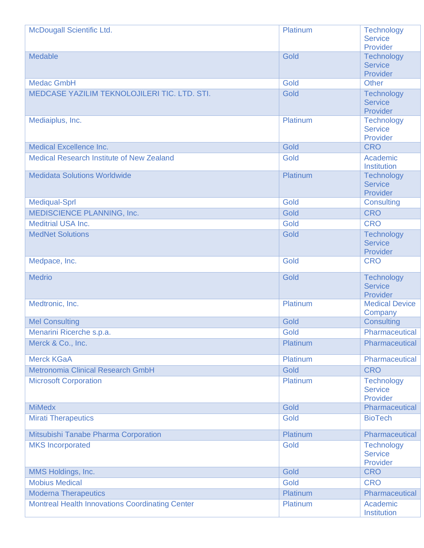| McDougall Scientific Ltd.                              | Platinum | <b>Technology</b><br><b>Service</b>             |
|--------------------------------------------------------|----------|-------------------------------------------------|
|                                                        |          | Provider                                        |
| <b>Medable</b>                                         | Gold     | Technology                                      |
|                                                        |          | <b>Service</b>                                  |
|                                                        |          | Provider                                        |
| <b>Medac GmbH</b>                                      | Gold     | <b>Other</b>                                    |
| MEDCASE YAZILIM TEKNOLOJILERI TIC. LTD. STI.           | Gold     | <b>Technology</b><br><b>Service</b><br>Provider |
| Mediaiplus, Inc.                                       | Platinum | <b>Technology</b><br><b>Service</b><br>Provider |
| <b>Medical Excellence Inc.</b>                         | Gold     | <b>CRO</b>                                      |
| <b>Medical Research Institute of New Zealand</b>       | Gold     | Academic<br>Institution                         |
| <b>Medidata Solutions Worldwide</b>                    | Platinum | <b>Technology</b><br><b>Service</b><br>Provider |
| <b>Mediqual-Sprl</b>                                   | Gold     | <b>Consulting</b>                               |
| <b>MEDISCIENCE PLANNING, Inc.</b>                      | Gold     | <b>CRO</b>                                      |
| <b>Meditrial USA Inc.</b>                              | Gold     | <b>CRO</b>                                      |
| <b>MedNet Solutions</b>                                | Gold     | <b>Technology</b><br><b>Service</b><br>Provider |
| Medpace, Inc.                                          | Gold     | <b>CRO</b>                                      |
| <b>Medrio</b>                                          | Gold     | Technology<br><b>Service</b><br>Provider        |
| Medtronic, Inc.                                        | Platinum | <b>Medical Device</b><br>Company                |
| <b>Mel Consulting</b>                                  | Gold     | <b>Consulting</b>                               |
| Menarini Ricerche s.p.a.                               | Gold     | Pharmaceutical                                  |
| Merck & Co., Inc.                                      | Platinum | Pharmaceutical                                  |
| <b>Merck KGaA</b>                                      | Platinum | Pharmaceutical                                  |
| <b>Metronomia Clinical Research GmbH</b>               | Gold     | <b>CRO</b>                                      |
| <b>Microsoft Corporation</b>                           | Platinum | <b>Technology</b><br><b>Service</b><br>Provider |
| <b>MiMedx</b>                                          | Gold     | Pharmaceutical                                  |
| <b>Mirati Therapeutics</b>                             | Gold     | <b>BioTech</b>                                  |
| Mitsubishi Tanabe Pharma Corporation                   | Platinum | Pharmaceutical                                  |
| <b>MKS</b> Incorporated                                | Gold     | <b>Technology</b><br><b>Service</b><br>Provider |
| MMS Holdings, Inc.                                     | Gold     | <b>CRO</b>                                      |
| <b>Mobius Medical</b>                                  | Gold     | <b>CRO</b>                                      |
| <b>Moderna Therapeutics</b>                            | Platinum | Pharmaceutical                                  |
| <b>Montreal Health Innovations Coordinating Center</b> | Platinum | Academic<br>Institution                         |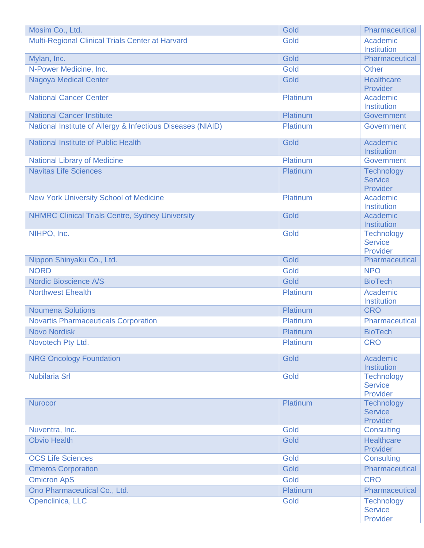| Mosim Co., Ltd.                                             | Gold            | Pharmaceutical                                  |
|-------------------------------------------------------------|-----------------|-------------------------------------------------|
| Multi-Regional Clinical Trials Center at Harvard            | Gold            | Academic<br><b>Institution</b>                  |
| Mylan, Inc.                                                 | Gold            | Pharmaceutical                                  |
| N-Power Medicine, Inc.                                      | Gold            | <b>Other</b>                                    |
| <b>Nagoya Medical Center</b>                                | Gold            | <b>Healthcare</b><br>Provider                   |
| <b>National Cancer Center</b>                               | Platinum        | Academic<br>Institution                         |
| <b>National Cancer Institute</b>                            | Platinum        | Government                                      |
| National Institute of Allergy & Infectious Diseases (NIAID) | Platinum        | Government                                      |
| <b>National Institute of Public Health</b>                  | Gold            | Academic<br>Institution                         |
| <b>National Library of Medicine</b>                         | <b>Platinum</b> | Government                                      |
| <b>Navitas Life Sciences</b>                                | Platinum        | <b>Technology</b><br><b>Service</b><br>Provider |
| <b>New York University School of Medicine</b>               | Platinum        | Academic<br><b>Institution</b>                  |
| <b>NHMRC Clinical Trials Centre, Sydney University</b>      | Gold            | Academic<br>Institution                         |
| NIHPO, Inc.                                                 | Gold            | <b>Technology</b><br><b>Service</b><br>Provider |
| Nippon Shinyaku Co., Ltd.                                   | Gold            | Pharmaceutical                                  |
| <b>NORD</b>                                                 | Gold            | <b>NPO</b>                                      |
| <b>Nordic Bioscience A/S</b>                                | Gold            | <b>BioTech</b>                                  |
| <b>Northwest Ehealth</b>                                    | Platinum        | Academic<br><b>Institution</b>                  |
| <b>Noumena Solutions</b>                                    | Platinum        | <b>CRO</b>                                      |
| <b>Novartis Pharmaceuticals Corporation</b>                 | Platinum        | Pharmaceutical                                  |
| <b>Novo Nordisk</b>                                         | Platinum        | <b>BioTech</b>                                  |
| Novotech Pty Ltd.                                           | Platinum        | <b>CRO</b>                                      |
| <b>NRG Oncology Foundation</b>                              | Gold            | Academic<br>Institution                         |
| <b>Nubilaria Srl</b>                                        | Gold            | <b>Technology</b><br><b>Service</b><br>Provider |
| <b>Nurocor</b>                                              | Platinum        | <b>Technology</b><br><b>Service</b><br>Provider |
| Nuventra, Inc.                                              | Gold            | <b>Consulting</b>                               |
| <b>Obvio Health</b>                                         | Gold            | <b>Healthcare</b><br>Provider                   |
| <b>OCS Life Sciences</b>                                    | Gold            | <b>Consulting</b>                               |
| <b>Omeros Corporation</b>                                   | Gold            | Pharmaceutical                                  |
| <b>Omicron ApS</b>                                          | Gold            | <b>CRO</b>                                      |
| Ono Pharmaceutical Co., Ltd.                                | Platinum        | Pharmaceutical                                  |
| Openclinica, LLC                                            | Gold            | Technology<br><b>Service</b><br>Provider        |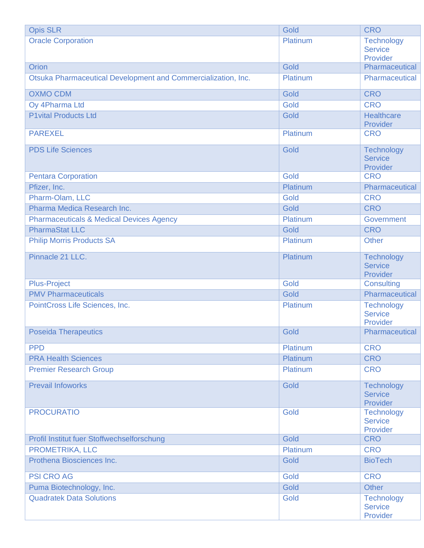| <b>Opis SLR</b>                                               | Gold     | <b>CRO</b>                                      |
|---------------------------------------------------------------|----------|-------------------------------------------------|
| <b>Oracle Corporation</b>                                     | Platinum | Technology<br><b>Service</b><br>Provider        |
| Orion                                                         | Gold     | Pharmaceutical                                  |
| Otsuka Pharmaceutical Development and Commercialization, Inc. | Platinum | Pharmaceutical                                  |
| <b>OXMO CDM</b>                                               | Gold     | <b>CRO</b>                                      |
| Oy 4Pharma Ltd                                                | Gold     | <b>CRO</b>                                      |
| <b>P1vital Products Ltd</b>                                   | Gold     | <b>Healthcare</b><br>Provider                   |
| <b>PAREXEL</b>                                                | Platinum | <b>CRO</b>                                      |
| <b>PDS Life Sciences</b>                                      | Gold     | <b>Technology</b><br><b>Service</b><br>Provider |
| <b>Pentara Corporation</b>                                    | Gold     | <b>CRO</b>                                      |
| Pfizer, Inc.                                                  | Platinum | Pharmaceutical                                  |
| Pharm-Olam, LLC                                               | Gold     | <b>CRO</b>                                      |
| Pharma Medica Research Inc.                                   | Gold     | <b>CRO</b>                                      |
| <b>Pharmaceuticals &amp; Medical Devices Agency</b>           | Platinum | Government                                      |
| <b>PharmaStat LLC</b>                                         | Gold     | <b>CRO</b>                                      |
| <b>Philip Morris Products SA</b>                              | Platinum | <b>Other</b>                                    |
| Pinnacle 21 LLC.                                              | Platinum | <b>Technology</b><br><b>Service</b><br>Provider |
| <b>Plus-Project</b>                                           | Gold     | <b>Consulting</b>                               |
| <b>PMV Pharmaceuticals</b>                                    | Gold     | Pharmaceutical                                  |
| PointCross Life Sciences, Inc.                                | Platinum | <b>Technology</b><br><b>Service</b><br>Provider |
| <b>Poseida Therapeutics</b>                                   | Gold     | Pharmaceutical                                  |
| <b>PPD</b>                                                    | Platinum | <b>CRO</b>                                      |
| <b>PRA Health Sciences</b>                                    | Platinum | <b>CRO</b>                                      |
| <b>Premier Research Group</b>                                 | Platinum | <b>CRO</b>                                      |
| <b>Prevail Infoworks</b>                                      | Gold     | <b>Technology</b><br><b>Service</b><br>Provider |
| <b>PROCURATIO</b>                                             | Gold     | <b>Technology</b><br><b>Service</b><br>Provider |
| Profil Institut fuer Stoffwechselforschung                    | Gold     | <b>CRO</b>                                      |
| PROMETRIKA, LLC                                               | Platinum | <b>CRO</b>                                      |
| Prothena Biosciences Inc.                                     | Gold     | <b>BioTech</b>                                  |
| <b>PSI CRO AG</b>                                             | Gold     | <b>CRO</b>                                      |
| Puma Biotechnology, Inc.                                      | Gold     | <b>Other</b>                                    |
| <b>Quadratek Data Solutions</b>                               | Gold     | <b>Technology</b><br><b>Service</b><br>Provider |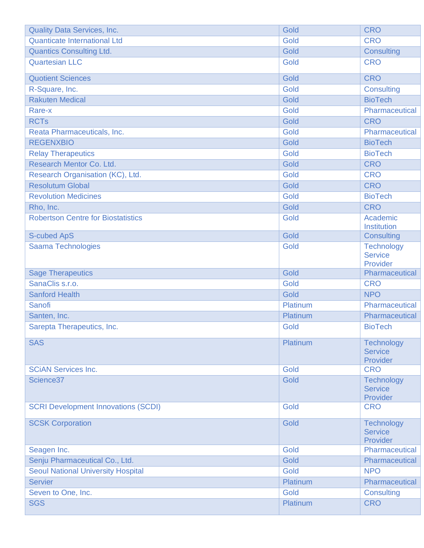| <b>Quality Data Services, Inc.</b>         | Gold                    | <b>CRO</b>                                      |
|--------------------------------------------|-------------------------|-------------------------------------------------|
| <b>Quanticate International Ltd</b>        | Gold                    | <b>CRO</b>                                      |
| <b>Quantics Consulting Ltd.</b>            | Gold                    | <b>Consulting</b>                               |
| <b>Quartesian LLC</b>                      | Gold                    | <b>CRO</b>                                      |
| <b>Quotient Sciences</b>                   | Gold                    | <b>CRO</b>                                      |
| R-Square, Inc.                             | Gold                    | <b>Consulting</b>                               |
| <b>Rakuten Medical</b>                     | Gold                    | <b>BioTech</b>                                  |
| Rare-x                                     | Gold                    | Pharmaceutical                                  |
| <b>RCTs</b>                                | Gold                    | <b>CRO</b>                                      |
| Reata Pharmaceuticals, Inc.                | Gold                    | Pharmaceutical                                  |
| <b>REGENXBIO</b>                           | Gold                    | <b>BioTech</b>                                  |
| <b>Relay Therapeutics</b>                  | Gold                    | <b>BioTech</b>                                  |
| Research Mentor Co. Ltd.                   | Gold                    | <b>CRO</b>                                      |
| Research Organisation (KC), Ltd.           | Gold                    | <b>CRO</b>                                      |
| <b>Resolutum Global</b>                    | Gold                    | <b>CRO</b>                                      |
| <b>Revolution Medicines</b>                | Gold                    | <b>BioTech</b>                                  |
| Rho, Inc.                                  | Gold                    | <b>CRO</b>                                      |
| <b>Robertson Centre for Biostatistics</b>  | Gold                    | Academic<br>Institution                         |
| <b>S-cubed ApS</b>                         | Gold                    | <b>Consulting</b>                               |
| <b>Saama Technologies</b>                  | Gold                    | <b>Technology</b><br><b>Service</b><br>Provider |
|                                            |                         |                                                 |
| <b>Sage Therapeutics</b>                   | Gold                    | Pharmaceutical                                  |
| SanaClis s.r.o.                            | Gold                    | <b>CRO</b>                                      |
| <b>Sanford Health</b>                      | Gold                    | <b>NPO</b>                                      |
| Sanofi                                     | Platinum                | Pharmaceutical                                  |
| Santen, Inc.                               | Platinum                | Pharmaceutical                                  |
| Sarepta Therapeutics, Inc.                 | Gold                    | <b>BioTech</b>                                  |
| <b>SAS</b>                                 | <b>Platinum</b>         | <b>Technology</b><br><b>Service</b><br>Provider |
| <b>SCIAN Services Inc.</b>                 | Gold                    | <b>CRO</b>                                      |
| Science <sub>37</sub>                      | Gold                    | <b>Technology</b><br><b>Service</b><br>Provider |
| <b>SCRI Development Innovations (SCDI)</b> | Gold                    | <b>CRO</b>                                      |
| <b>SCSK Corporation</b>                    | Gold                    | <b>Technology</b><br><b>Service</b><br>Provider |
| Seagen Inc.                                | Gold                    | Pharmaceutical                                  |
| Senju Pharmaceutical Co., Ltd.             | Gold                    | Pharmaceutical                                  |
| <b>Seoul National University Hospital</b>  | Gold                    | <b>NPO</b>                                      |
| <b>Servier</b>                             | Platinum                | Pharmaceutical                                  |
| Seven to One, Inc.<br><b>SGS</b>           | Gold<br><b>Platinum</b> | <b>Consulting</b><br><b>CRO</b>                 |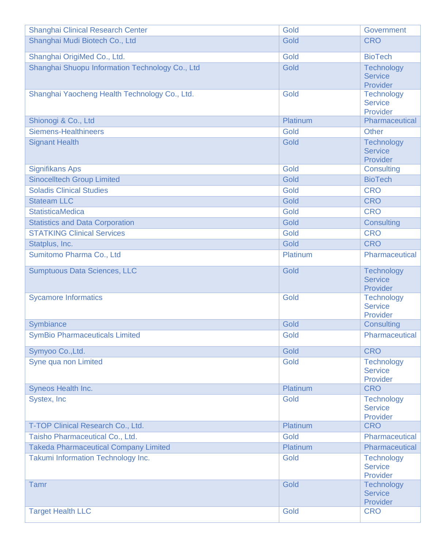| <b>Shanghai Clinical Research Center</b>        | Gold     | Government                                      |
|-------------------------------------------------|----------|-------------------------------------------------|
| Shanghai Mudi Biotech Co., Ltd                  | Gold     | <b>CRO</b>                                      |
| Shanghai OrigiMed Co., Ltd.                     | Gold     | <b>BioTech</b>                                  |
| Shanghai Shuopu Information Technology Co., Ltd | Gold     | <b>Technology</b><br><b>Service</b><br>Provider |
| Shanghai Yaocheng Health Technology Co., Ltd.   | Gold     | Technology<br><b>Service</b><br>Provider        |
| Shionogi & Co., Ltd                             | Platinum | Pharmaceutical                                  |
| <b>Siemens-Healthineers</b>                     | Gold     | Other                                           |
| <b>Signant Health</b>                           | Gold     | <b>Technology</b><br><b>Service</b><br>Provider |
| <b>Signifikans Aps</b>                          | Gold     | <b>Consulting</b>                               |
| <b>Sinocelltech Group Limited</b>               | Gold     | <b>BioTech</b>                                  |
| <b>Soladis Clinical Studies</b>                 | Gold     | <b>CRO</b>                                      |
| <b>Stateam LLC</b>                              | Gold     | <b>CRO</b>                                      |
| <b>StatisticaMedica</b>                         | Gold     | <b>CRO</b>                                      |
| <b>Statistics and Data Corporation</b>          | Gold     | <b>Consulting</b>                               |
| <b>STATKING Clinical Services</b>               | Gold     | <b>CRO</b>                                      |
| Statplus, Inc.                                  | Gold     | <b>CRO</b>                                      |
| Sumitomo Pharma Co., Ltd                        | Platinum | Pharmaceutical                                  |
| <b>Sumptuous Data Sciences, LLC</b>             | Gold     | <b>Technology</b><br><b>Service</b><br>Provider |
| <b>Sycamore Informatics</b>                     | Gold     | Technology<br><b>Service</b><br>Provider        |
| Symbiance                                       | Gold     | <b>Consulting</b>                               |
| <b>SymBio Pharmaceuticals Limited</b>           | Gold     | Pharmaceutical                                  |
| Symyoo Co., Ltd.                                | Gold     | <b>CRO</b>                                      |
| Syne qua non Limited                            | Gold     | <b>Technology</b><br><b>Service</b><br>Provider |
| Syneos Health Inc.                              | Platinum | <b>CRO</b>                                      |
| Systex, Inc.                                    | Gold     | <b>Technology</b><br><b>Service</b><br>Provider |
| T-TOP Clinical Research Co., Ltd.               | Platinum | <b>CRO</b>                                      |
| Taisho Pharmaceutical Co., Ltd.                 | Gold     | Pharmaceutical                                  |
| <b>Takeda Pharmaceutical Company Limited</b>    | Platinum | Pharmaceutical                                  |
| Takumi Information Technology Inc.              | Gold     | <b>Technology</b><br><b>Service</b><br>Provider |
| <b>Tamr</b>                                     | Gold     | <b>Technology</b><br><b>Service</b><br>Provider |
| <b>Target Health LLC</b>                        | Gold     | <b>CRO</b>                                      |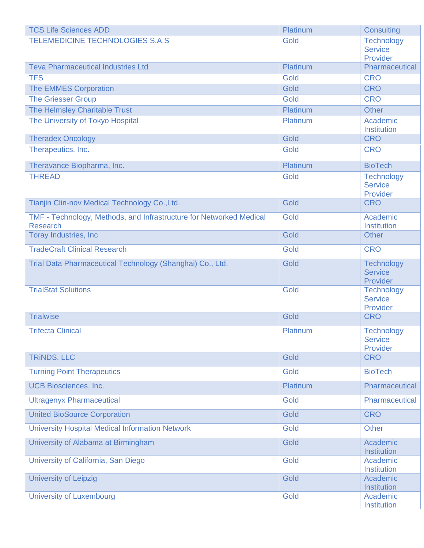| <b>TCS Life Sciences ADD</b>                                                           | Platinum | <b>Consulting</b>                               |
|----------------------------------------------------------------------------------------|----------|-------------------------------------------------|
| <b>TELEMEDICINE TECHNOLOGIES S.A.S</b>                                                 | Gold     | <b>Technology</b><br><b>Service</b><br>Provider |
| <b>Teva Pharmaceutical Industries Ltd</b>                                              | Platinum | Pharmaceutical                                  |
| <b>TFS</b>                                                                             | Gold     | <b>CRO</b>                                      |
| <b>The EMMES Corporation</b>                                                           | Gold     | <b>CRO</b>                                      |
| <b>The Griesser Group</b>                                                              | Gold     | <b>CRO</b>                                      |
| The Helmsley Charitable Trust                                                          | Platinum | <b>Other</b>                                    |
| The University of Tokyo Hospital                                                       | Platinum | Academic<br>Institution                         |
| <b>Theradex Oncology</b>                                                               | Gold     | <b>CRO</b>                                      |
| Therapeutics, Inc.                                                                     | Gold     | <b>CRO</b>                                      |
| Theravance Biopharma, Inc.                                                             | Platinum | <b>BioTech</b>                                  |
| <b>THREAD</b>                                                                          | Gold     | Technology<br><b>Service</b><br>Provider        |
| Tianjin Clin-nov Medical Technology Co., Ltd.                                          | Gold     | <b>CRO</b>                                      |
| TMF - Technology, Methods, and Infrastructure for Networked Medical<br><b>Research</b> | Gold     | Academic<br><b>Institution</b>                  |
| <b>Toray Industries, Inc</b>                                                           | Gold     | <b>Other</b>                                    |
| <b>TradeCraft Clinical Research</b>                                                    | Gold     | <b>CRO</b>                                      |
| Trial Data Pharmaceutical Technology (Shanghai) Co., Ltd.                              | Gold     | <b>Technology</b><br><b>Service</b><br>Provider |
| <b>TrialStat Solutions</b>                                                             | Gold     | <b>Technology</b><br><b>Service</b><br>Provider |
| <b>Trialwise</b>                                                                       | Gold     | <b>CRO</b>                                      |
| <b>Trifecta Clinical</b>                                                               | Platinum | <b>Technology</b><br><b>Service</b><br>Provider |
| <b>TRINDS, LLC</b>                                                                     | Gold     | <b>CRO</b>                                      |
| <b>Turning Point Therapeutics</b>                                                      | Gold     | <b>BioTech</b>                                  |
| <b>UCB Biosciences, Inc.</b>                                                           | Platinum | Pharmaceutical                                  |
| <b>Ultragenyx Pharmaceutical</b>                                                       | Gold     | Pharmaceutical                                  |
| <b>United BioSource Corporation</b>                                                    | Gold     | <b>CRO</b>                                      |
| <b>University Hospital Medical Information Network</b>                                 | Gold     | <b>Other</b>                                    |
| University of Alabama at Birmingham                                                    | Gold     | Academic<br>Institution                         |
| University of California, San Diego                                                    | Gold     | Academic<br>Institution                         |
| <b>University of Leipzig</b>                                                           | Gold     | Academic<br>Institution                         |
| <b>University of Luxembourg</b>                                                        | Gold     | Academic<br>Institution                         |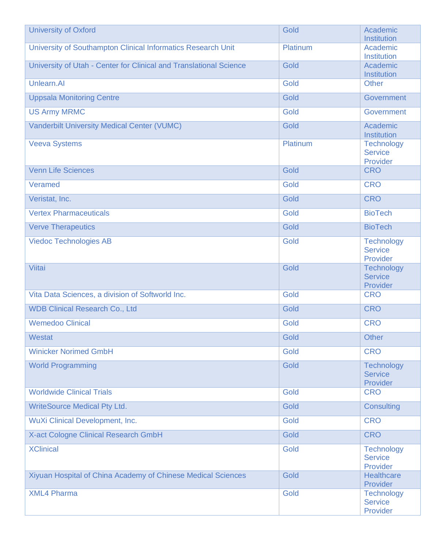| <b>University of Oxford</b>                                        | Gold     | Academic<br>Institution                         |
|--------------------------------------------------------------------|----------|-------------------------------------------------|
| University of Southampton Clinical Informatics Research Unit       | Platinum | Academic<br>Institution                         |
| University of Utah - Center for Clinical and Translational Science | Gold     | Academic<br>Institution                         |
| Unlearn.AI                                                         | Gold     | <b>Other</b>                                    |
| <b>Uppsala Monitoring Centre</b>                                   | Gold     | Government                                      |
| <b>US Army MRMC</b>                                                | Gold     | Government                                      |
| <b>Vanderbilt University Medical Center (VUMC)</b>                 | Gold     | Academic<br>Institution                         |
| <b>Veeva Systems</b>                                               | Platinum | <b>Technology</b><br><b>Service</b><br>Provider |
| <b>Venn Life Sciences</b>                                          | Gold     | <b>CRO</b>                                      |
| Veramed                                                            | Gold     | <b>CRO</b>                                      |
| Veristat, Inc.                                                     | Gold     | <b>CRO</b>                                      |
| <b>Vertex Pharmaceuticals</b>                                      | Gold     | <b>BioTech</b>                                  |
| <b>Verve Therapeutics</b>                                          | Gold     | <b>BioTech</b>                                  |
| <b>Viedoc Technologies AB</b>                                      | Gold     | Technology<br><b>Service</b><br>Provider        |
| Viitai                                                             | Gold     | <b>Technology</b><br><b>Service</b><br>Provider |
| Vita Data Sciences, a division of Softworld Inc.                   | Gold     | <b>CRO</b>                                      |
| <b>WDB Clinical Research Co., Ltd</b>                              | Gold     | <b>CRO</b>                                      |
| <b>Wemedoo Clinical</b>                                            | Gold     | <b>CRO</b>                                      |
| <b>Westat</b>                                                      | Gold     | <b>Other</b>                                    |
| <b>Winicker Norimed GmbH</b>                                       | Gold     | <b>CRO</b>                                      |
| <b>World Programming</b>                                           | Gold     | <b>Technology</b><br><b>Service</b><br>Provider |
| <b>Worldwide Clinical Trials</b>                                   | Gold     | <b>CRO</b>                                      |
| <b>WriteSource Medical Pty Ltd.</b>                                | Gold     | Consulting                                      |
| WuXi Clinical Development, Inc.                                    | Gold     | <b>CRO</b>                                      |
| X-act Cologne Clinical Research GmbH                               | Gold     | <b>CRO</b>                                      |
| <b>XClinical</b>                                                   | Gold     | <b>Technology</b><br><b>Service</b><br>Provider |
| Xiyuan Hospital of China Academy of Chinese Medical Sciences       | Gold     | <b>Healthcare</b><br>Provider                   |
| <b>XML4 Pharma</b>                                                 | Gold     | <b>Technology</b><br><b>Service</b><br>Provider |